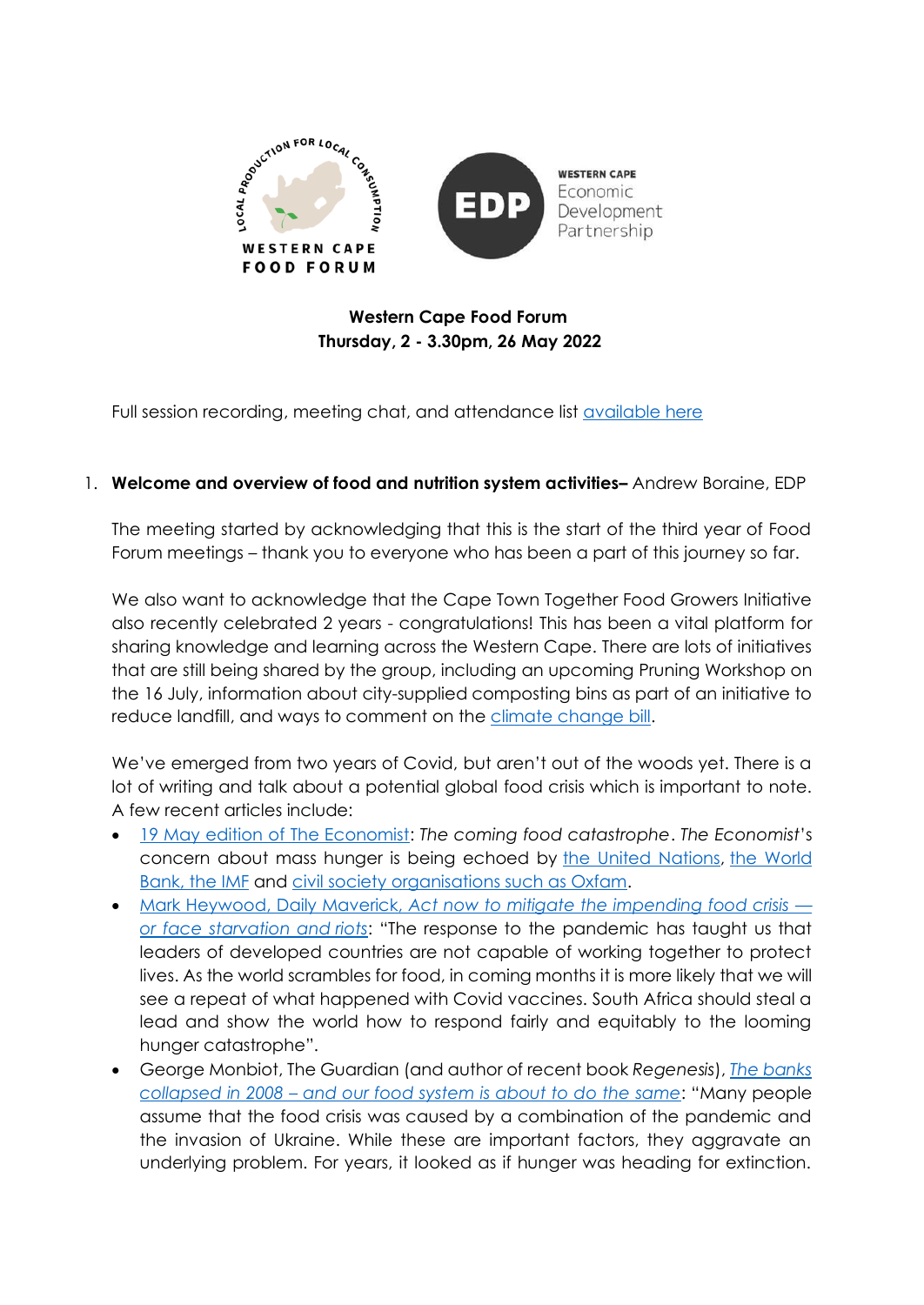

# **Western Cape Food Forum Thursday, 2 - 3.30pm, 26 May 2022**

Full session recording, meeting chat, and attendance list [available here](https://drive.google.com/drive/folders/1eeOO6I7SNeArhEHE9fhKoaXN9-lJXBYY?usp=sharing)

# 1. **Welcome and overview of food and nutrition system activities–** Andrew Boraine, EDP

The meeting started by acknowledging that this is the start of the third year of Food Forum meetings – thank you to everyone who has been a part of this journey so far.

We also want to acknowledge that the Cape Town Together Food Growers Initiative also recently celebrated 2 years - congratulations! This has been a vital platform for sharing knowledge and learning across the Western Cape. There are lots of initiatives that are still being shared by the group, including an upcoming Pruning Workshop on the 16 July, information about city-supplied composting bins as part of an initiative to reduce landfill, and ways to comment on the [climate change bill.](https://dearsouthafrica.co.za/climate-2022/)

We've emerged from two years of Covid, but aren't out of the woods yet. There is a lot of writing and talk about a potential global food crisis which is important to note. A few recent articles include:

- [19 May edition of The Economist:](https://www.economist.com/leaders/2022/05/19/the-coming-food-catastrophe) *The coming food catastrophe*. *The Economist*'s concern about mass hunger is being echoed by [the United Nations,](https://www.theguardian.com/world/2022/may/19/ukraine-war-has-stoked-global-food-crisis-that-could-last-years-says-un?) [the World](https://www.worldbank.org/en/news/statement/2022/04/13/joint-statement-the-heads-of-the-world-bank-group-imf-wfp-and-wto-call-for-urgent-coordinated-action-on-food-security)  [Bank, the IMF](https://www.worldbank.org/en/news/statement/2022/04/13/joint-statement-the-heads-of-the-world-bank-group-imf-wfp-and-wto-call-for-urgent-coordinated-action-on-food-security) and [civil society organisations such as Oxfam.](https://www.oxfam.org/en/press-releases/oxfam-reaction-grfc-2022-response-global-hunger-catastrophically-inadequate)
- Mark Heywood, Daily Maverick, *[Act now to mitigate the impending food crisis](https://www.dailymaverick.co.za/article/2022-05-24-act-now-to-mitigate-the-impending-food-crisis-or-face-starvation-and-riots/)  [or face starvation and](https://www.dailymaverick.co.za/article/2022-05-24-act-now-to-mitigate-the-impending-food-crisis-or-face-starvation-and-riots/) riots*: "The response to the pandemic has taught us that leaders of developed countries are not capable of working together to protect lives. As the world scrambles for food, in coming months it is more likely that we will see a repeat of what happened with Covid vaccines. South Africa should steal a lead and show the world how to respond fairly and equitably to the looming hunger catastrophe".
- George Monbiot, The Guardian (and author of recent book *Regenesis*), *[The banks](https://www.theguardian.com/commentisfree/2022/may/19/banks-collapsed-in-2008-food-system-same-producers-regulators?CMP=Share_iOSApp_Other)  collapsed in 2008 – [and our food system is about to do the same](https://www.theguardian.com/commentisfree/2022/may/19/banks-collapsed-in-2008-food-system-same-producers-regulators?CMP=Share_iOSApp_Other)*: "Many people assume that the food crisis was caused by a combination of the pandemic and the invasion of Ukraine. While these are important factors, they aggravate an underlying problem. For years, it looked as if hunger was heading for extinction.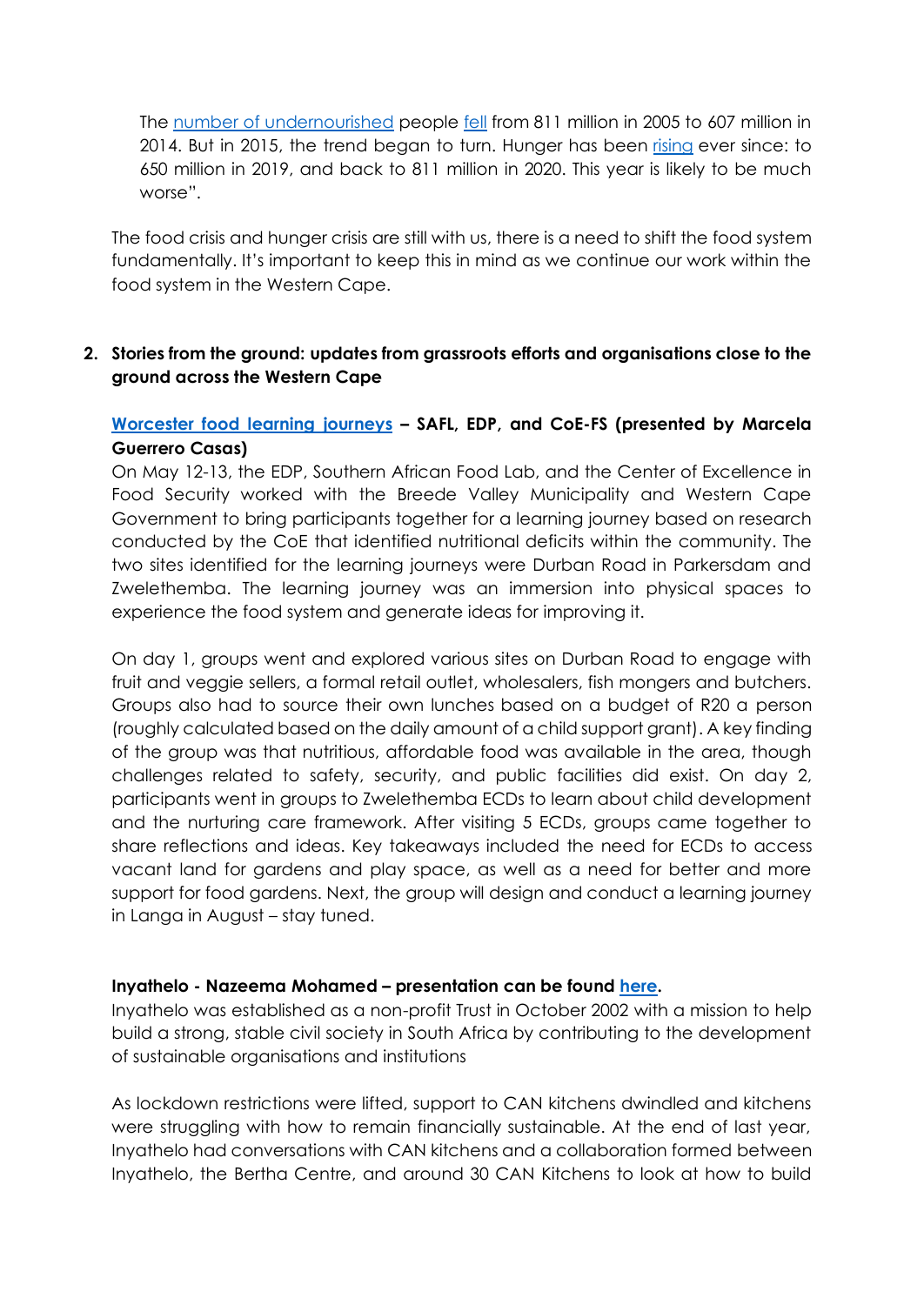The [number of undernourished](https://www.fao.org/sustainable-development-goals/indicators/211/en/) people [fell](https://www.fao.org/state-of-food-security-nutrition) from 811 million in 2005 to 607 million in 2014. But in 2015, the trend began to turn. Hunger has been [rising](https://www.who.int/news/item/12-07-2021-un-report-pandemic-year-marked-by-spike-in-world-hunger) ever since: to 650 million in 2019, and back to 811 million in 2020. This year is likely to be much worse".

The food crisis and hunger crisis are still with us, there is a need to shift the food system fundamentally. It's important to keep this in mind as we continue our work within the food system in the Western Cape.

## **2. Stories from the ground: updates from grassroots efforts and organisations close to the ground across the Western Cape**

# **Worcester food [learning journeys](https://www.dailymaverick.co.za/article/2022-05-24-localised-food-systems-key-to-economic-inclusion-and-environmental-sustainability/) – SAFL, EDP, and CoE-FS (presented by Marcela Guerrero Casas)**

On May 12-13, the EDP, Southern African Food Lab, and the Center of Excellence in Food Security worked with the Breede Valley Municipality and Western Cape Government to bring participants together for a learning journey based on research conducted by the CoE that identified nutritional deficits within the community. The two sites identified for the learning journeys were Durban Road in Parkersdam and Zwelethemba. The learning journey was an immersion into physical spaces to experience the food system and generate ideas for improving it.

On day 1, groups went and explored various sites on Durban Road to engage with fruit and veggie sellers, a formal retail outlet, wholesalers, fish mongers and butchers. Groups also had to source their own lunches based on a budget of R20 a person (roughly calculated based on the daily amount of a child support grant). A key finding of the group was that nutritious, affordable food was available in the area, though challenges related to safety, security, and public facilities did exist. On day 2, participants went in groups to Zwelethemba ECDs to learn about child development and the nurturing care framework. After visiting 5 ECDs, groups came together to share reflections and ideas. Key takeaways included the need for ECDs to access vacant land for gardens and play space, as well as a need for better and more support for food gardens. Next, the group will design and conduct a learning journey in Langa in August – stay tuned.

### **Inyathelo - Nazeema Mohamed – presentation can be found [here.](https://drive.google.com/file/d/1N91HWx1yHGmTBmTZFIw8fspVPf-x5pFv/view?usp=sharing)**

Inyathelo was established as a non-profit Trust in October 2002 with a mission to help build a strong, stable civil society in South Africa by contributing to the development of sustainable organisations and institutions

As lockdown restrictions were lifted, support to CAN kitchens dwindled and kitchens were struggling with how to remain financially sustainable. At the end of last year, Inyathelo had conversations with CAN kitchens and a collaboration formed between Inyathelo, the Bertha Centre, and around 30 CAN Kitchens to look at how to build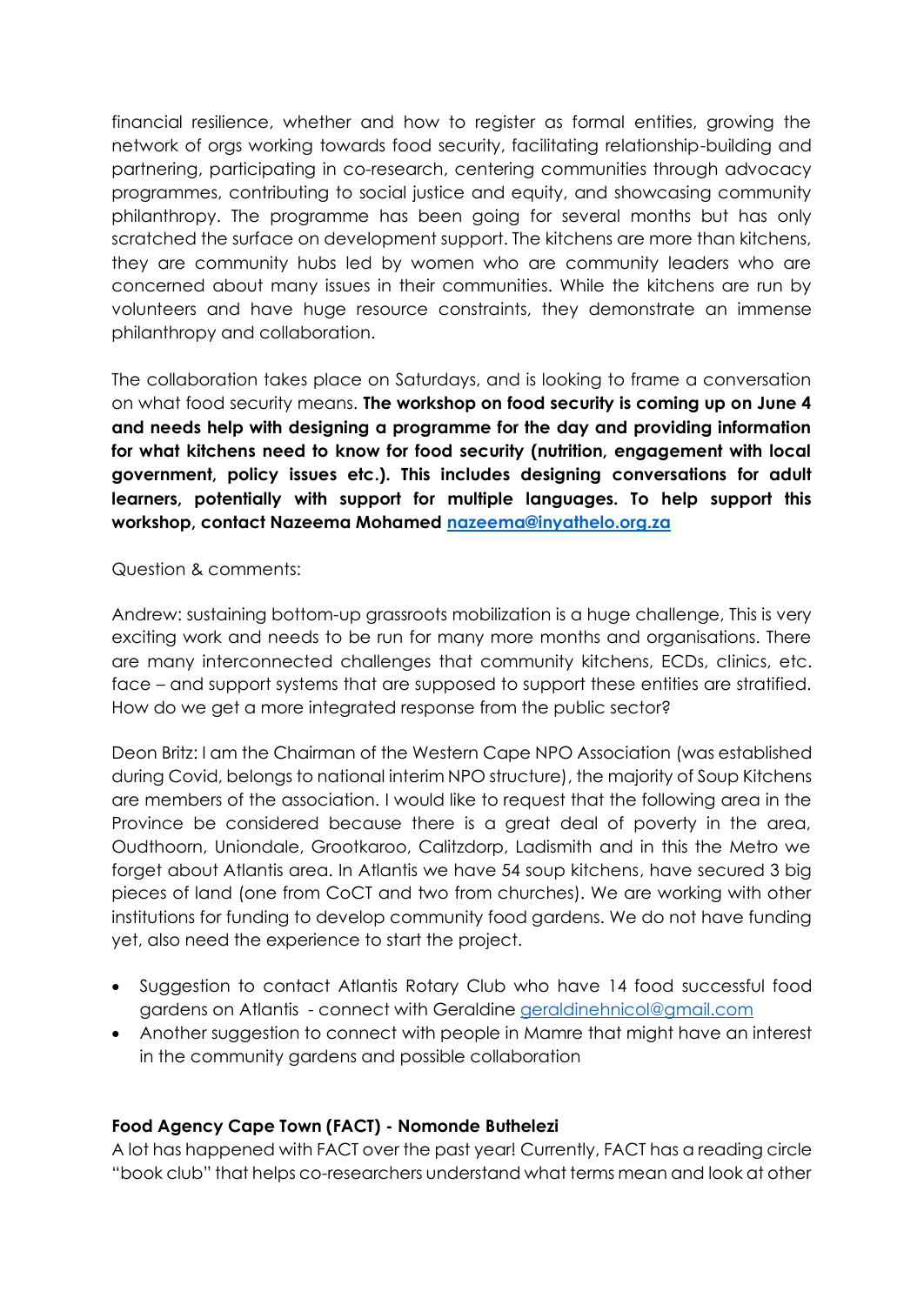financial resilience, whether and how to register as formal entities, growing the network of orgs working towards food security, facilitating relationship-building and partnering, participating in co-research, centering communities through advocacy programmes, contributing to social justice and equity, and showcasing community philanthropy. The programme has been going for several months but has only scratched the surface on development support. The kitchens are more than kitchens, they are community hubs led by women who are community leaders who are concerned about many issues in their communities. While the kitchens are run by volunteers and have huge resource constraints, they demonstrate an immense philanthropy and collaboration.

The collaboration takes place on Saturdays, and is looking to frame a conversation on what food security means. **The workshop on food security is coming up on June 4 and needs help with designing a programme for the day and providing information for what kitchens need to know for food security (nutrition, engagement with local government, policy issues etc.). This includes designing conversations for adult learners, potentially with support for multiple languages. To help support this workshop, contact Nazeema Mohamed [nazeema@inyathelo.org.za](mailto:nazeema@inyathelo.org.za)**

### Question & comments:

Andrew: sustaining bottom-up grassroots mobilization is a huge challenge, This is very exciting work and needs to be run for many more months and organisations. There are many interconnected challenges that community kitchens, ECDs, clinics, etc. face – and support systems that are supposed to support these entities are stratified. How do we get a more integrated response from the public sector?

Deon Britz: I am the Chairman of the Western Cape NPO Association (was established during Covid, belongs to national interim NPO structure), the majority of Soup Kitchens are members of the association. I would like to request that the following area in the Province be considered because there is a great deal of poverty in the area, Oudthoorn, Uniondale, Grootkaroo, Calitzdorp, Ladismith and in this the Metro we forget about Atlantis area. In Atlantis we have 54 soup kitchens, have secured 3 big pieces of land (one from CoCT and two from churches). We are working with other institutions for funding to develop community food gardens. We do not have funding yet, also need the experience to start the project.

- Suggestion to contact Atlantis Rotary Club who have 14 food successful food gardens on Atlantis - connect with Geraldine [geraldinehnicol@gmail.com](mailto:geraldinehnicol@gmail.com)
- Another suggestion to connect with people in Mamre that might have an interest in the community gardens and possible collaboration

### **Food Agency Cape Town (FACT) - Nomonde Buthelezi**

A lot has happened with FACT over the past year! Currently, FACT has a reading circle "book club" that helps co-researchers understand what terms mean and look at other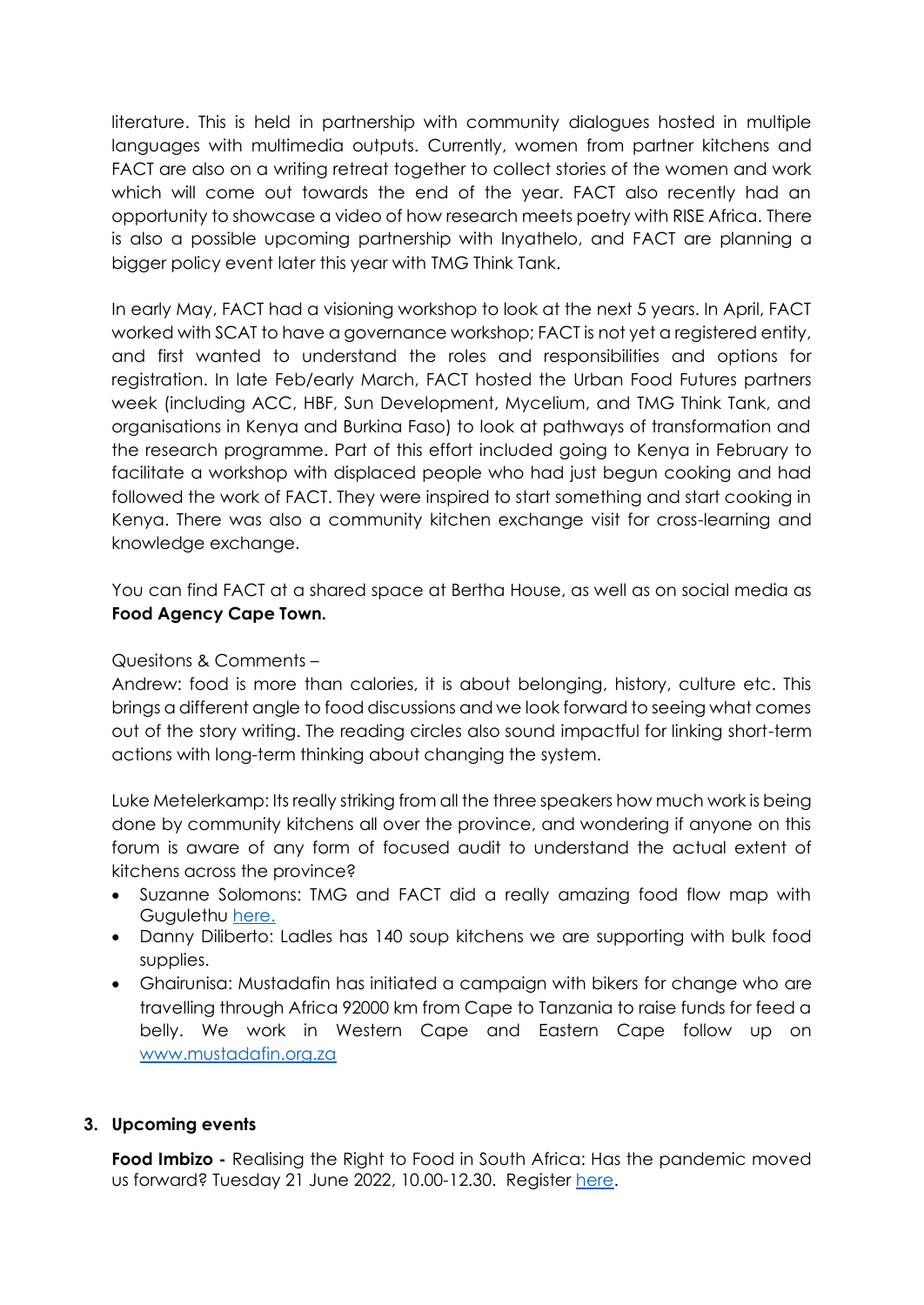literature. This is held in partnership with community dialogues hosted in multiple languages with multimedia outputs. Currently, women from partner kitchens and FACT are also on a writing retreat together to collect stories of the women and work which will come out towards the end of the year. FACT also recently had an opportunity to showcase a video of how research meets poetry with RISE Africa. There is also a possible upcoming partnership with Inyathelo, and FACT are planning a bigger policy event later this year with TMG Think Tank.

In early May, FACT had a visioning workshop to look at the next 5 years. In April, FACT worked with SCAT to have a governance workshop; FACT is not yet a registered entity, and first wanted to understand the roles and responsibilities and options for registration. In late Feb/early March, FACT hosted the Urban Food Futures partners week (including ACC, HBF, Sun Development, Mycelium, and TMG Think Tank, and organisations in Kenya and Burkina Faso) to look at pathways of transformation and the research programme. Part of this effort included going to Kenya in February to facilitate a workshop with displaced people who had just begun cooking and had followed the work of FACT. They were inspired to start something and start cooking in Kenya. There was also a community kitchen exchange visit for cross-learning and knowledge exchange.

You can find FACT at a shared space at Bertha House, as well as on social media as **Food Agency Cape Town.** 

#### Quesitons & Comments –

Andrew: food is more than calories, it is about belonging, history, culture etc. This brings a different angle to food discussions and we look forward to seeing what comes out of the story writing. The reading circles also sound impactful for linking short-term actions with long-term thinking about changing the system.

Luke Metelerkamp: Its really striking from all the three speakers how much work is being done by community kitchens all over the province, and wondering if anyone on this forum is aware of any form of focused audit to understand the actual extent of kitchens across the province?

- Suzanne Solomons: TMG and FACT did a really amazing food flow map with Gugulethu [here.](https://downloads.ctfassets.net/rrirl83ijfda/xGDM783CMlyzUHFJwCAjf/149cbd4f51896ec508f15a363d6cb1ad/TEP_4B_Poster_R4-FA-PRINT_READY.pdf)
- Danny Diliberto: Ladles has 140 soup kitchens we are supporting with bulk food supplies.
- Ghairunisa: Mustadafin has initiated a campaign with bikers for change who are travelling through Africa 92000 km from Cape to Tanzania to raise funds for feed a belly. We work in Western Cape and Eastern Cape follow up on [www.mustadafin.org.za](http://www.mustadafin.org.za/)

### **3. Upcoming events**

**Food Imbizo -** Realising the Right to Food in South Africa: Has the pandemic moved us forward? Tuesday 21 June 2022, 10.00-12.30. Register [here.](https://uwc.zoom.us/meeting/register/tJ0sdOGoqzssGtzYjfVwTWJrDh8fcsuzfJDp)